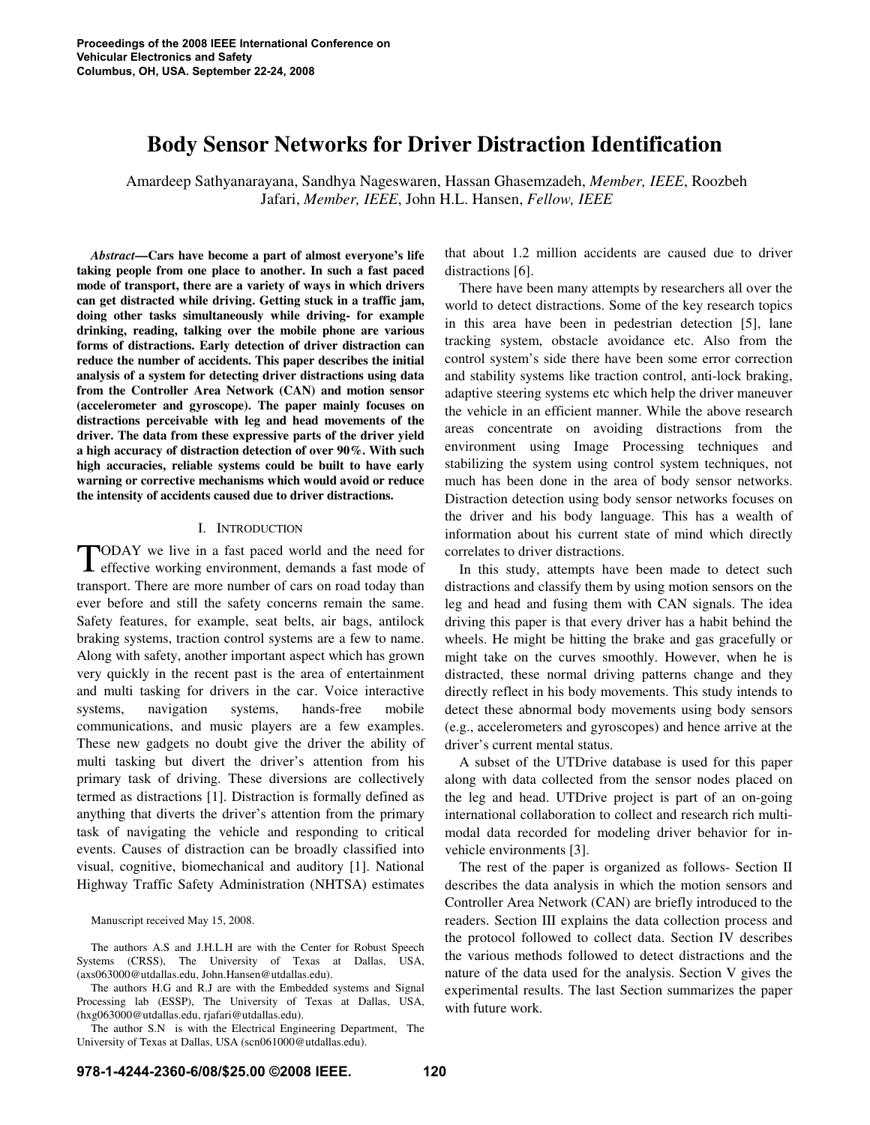# **Body Sensor Networks for Driver Distraction Identification**

Amardeep Sathyanarayana, Sandhya Nageswaren, Hassan Ghasemzadeh, *Member, IEEE*, Roozbeh Jafari, *Member, IEEE*, John H.L. Hansen, *Fellow, IEEE*

*Abstract***—Cars have become a part of almost everyone's life taking people from one place to another. In such a fast paced mode of transport, there are a variety of ways in which drivers can get distracted while driving. Getting stuck in a traffic jam, doing other tasks simultaneously while driving- for example drinking, reading, talking over the mobile phone are various forms of distractions. Early detection of driver distraction can reduce the number of accidents. This paper describes the initial analysis of a system for detecting driver distractions using data from the Controller Area Network (CAN) and motion sensor (accelerometer and gyroscope). The paper mainly focuses on distractions perceivable with leg and head movements of the driver. The data from these expressive parts of the driver yield a high accuracy of distraction detection of over 90%. With such high accuracies, reliable systems could be built to have early warning or corrective mechanisms which would avoid or reduce the intensity of accidents caused due to driver distractions.** 

#### I. INTRODUCTION

ODAY we live in a fast paced world and the need for TODAY we live in a fast paced world and the need for effective working environment, demands a fast mode of transport. There are more number of cars on road today than ever before and still the safety concerns remain the same. Safety features, for example, seat belts, air bags, antilock braking systems, traction control systems are a few to name. Along with safety, another important aspect which has grown very quickly in the recent past is the area of entertainment and multi tasking for drivers in the car. Voice interactive systems, navigation systems, hands-free mobile communications, and music players are a few examples. These new gadgets no doubt give the driver the ability of multi tasking but divert the driver's attention from his primary task of driving. These diversions are collectively termed as distractions [1]. Distraction is formally defined as anything that diverts the driver's attention from the primary task of navigating the vehicle and responding to critical events. Causes of distraction can be broadly classified into visual, cognitive, biomechanical and auditory [1]. National Highway Traffic Safety Administration (NHTSA) estimates

Manuscript received May 15, 2008.

The authors A.S and J.H.L.H are with the Center for Robust Speech Systems (CRSS), The University of Texas at Dallas, USA, (axs063000@utdallas.edu, John.Hansen@utdallas.edu).

The authors H.G and R.J are with the Embedded systems and Signal Processing lab (ESSP), The University of Texas at Dallas, USA, (hxg063000@utdallas.edu, rjafari@utdallas.edu).

The author S.N is with the Electrical Engineering Department, The University of Texas at Dallas, USA (scn061000@utdallas.edu).

that about 1.2 million accidents are caused due to driver distractions [6].

There have been many attempts by researchers all over the world to detect distractions. Some of the key research topics in this area have been in pedestrian detection [5], lane tracking system, obstacle avoidance etc. Also from the control system's side there have been some error correction and stability systems like traction control, anti-lock braking, adaptive steering systems etc which help the driver maneuver the vehicle in an efficient manner. While the above research areas concentrate on avoiding distractions from the environment using Image Processing techniques and stabilizing the system using control system techniques, not much has been done in the area of body sensor networks. Distraction detection using body sensor networks focuses on the driver and his body language. This has a wealth of information about his current state of mind which directly correlates to driver distractions.

In this study, attempts have been made to detect such distractions and classify them by using motion sensors on the leg and head and fusing them with CAN signals. The idea driving this paper is that every driver has a habit behind the wheels. He might be hitting the brake and gas gracefully or might take on the curves smoothly. However, when he is distracted, these normal driving patterns change and they directly reflect in his body movements. This study intends to detect these abnormal body movements using body sensors (e.g., accelerometers and gyroscopes) and hence arrive at the driver's current mental status.

A subset of the UTDrive database is used for this paper along with data collected from the sensor nodes placed on the leg and head. UTDrive project is part of an on-going international collaboration to collect and research rich multimodal data recorded for modeling driver behavior for invehicle environments [3].

The rest of the paper is organized as follows- Section II describes the data analysis in which the motion sensors and Controller Area Network (CAN) are briefly introduced to the readers. Section III explains the data collection process and the protocol followed to collect data. Section IV describes the various methods followed to detect distractions and the nature of the data used for the analysis. Section V gives the experimental results. The last Section summarizes the paper with future work.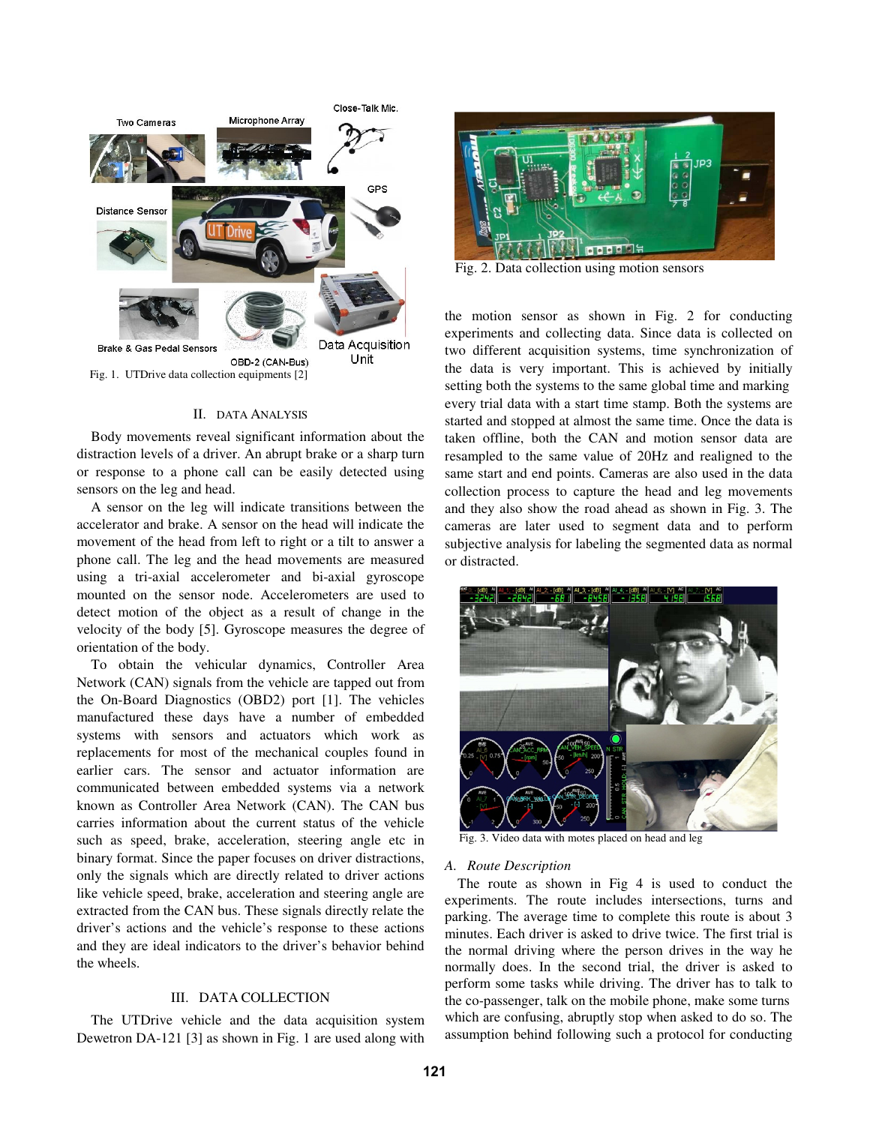

#### II. DATA ANALYSIS

 Body movements reveal significant information about the distraction levels of a driver. An abrupt brake or a sharp turn or response to a phone call can be easily detected using sensors on the leg and head.

A sensor on the leg will indicate transitions between the accelerator and brake. A sensor on the head will indicate the movement of the head from left to right or a tilt to answer a phone call. The leg and the head movements are measured using a tri-axial accelerometer and bi-axial gyroscope mounted on the sensor node. Accelerometers are used to detect motion of the object as a result of change in the velocity of the body [5]. Gyroscope measures the degree of orientation of the body.

To obtain the vehicular dynamics, Controller Area Network (CAN) signals from the vehicle are tapped out from the On-Board Diagnostics (OBD2) port [1]. The vehicles manufactured these days have a number of embedded systems with sensors and actuators which work as replacements for most of the mechanical couples found in earlier cars. The sensor and actuator information are communicated between embedded systems via a network known as Controller Area Network (CAN). The CAN bus carries information about the current status of the vehicle such as speed, brake, acceleration, steering angle etc in binary format. Since the paper focuses on driver distractions, only the signals which are directly related to driver actions like vehicle speed, brake, acceleration and steering angle are extracted from the CAN bus. These signals directly relate the driver's actions and the vehicle's response to these actions and they are ideal indicators to the driver's behavior behind the wheels.

## III. DATA COLLECTION

The UTDrive vehicle and the data acquisition system Dewetron DA-121 [3] as shown in Fig. 1 are used along with



Fig. 2. Data collection using motion sensors

the motion sensor as shown in Fig. 2 for conducting experiments and collecting data. Since data is collected on two different acquisition systems, time synchronization of the data is very important. This is achieved by initially setting both the systems to the same global time and marking every trial data with a start time stamp. Both the systems are started and stopped at almost the same time. Once the data is taken offline, both the CAN and motion sensor data are resampled to the same value of 20Hz and realigned to the same start and end points. Cameras are also used in the data collection process to capture the head and leg movements and they also show the road ahead as shown in Fig. 3. The cameras are later used to segment data and to perform subjective analysis for labeling the segmented data as normal or distracted.



Fig. 3. Video data with motes placed on head and leg

### *A. Route Description*

The route as shown in Fig 4 is used to conduct the experiments. The route includes intersections, turns and parking. The average time to complete this route is about 3 minutes. Each driver is asked to drive twice. The first trial is the normal driving where the person drives in the way he normally does. In the second trial, the driver is asked to perform some tasks while driving. The driver has to talk to the co-passenger, talk on the mobile phone, make some turns which are confusing, abruptly stop when asked to do so. The assumption behind following such a protocol for conducting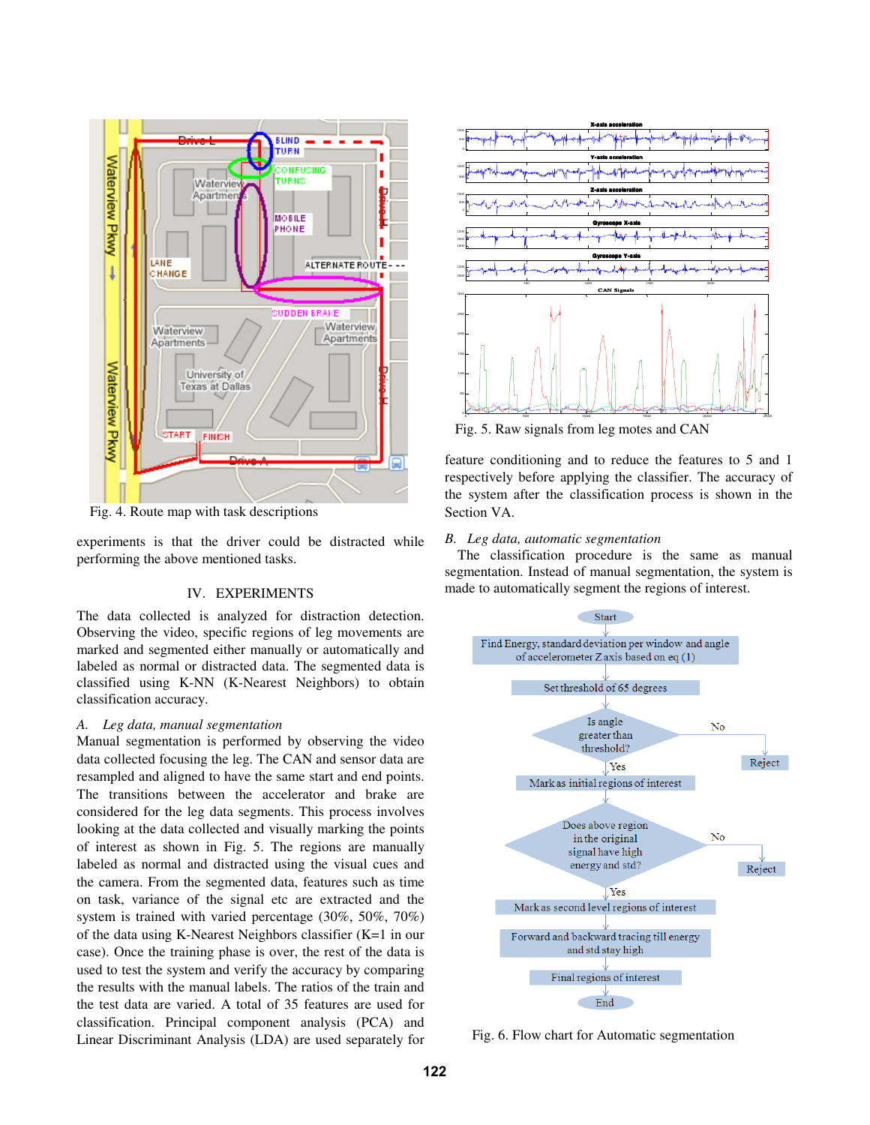

Fig. 4. Route map with task descriptions

experiments is that the driver could be distracted while performing the above mentioned tasks.

## IV. EXPERIMENTS

The data collected is analyzed for distraction detection. Observing the video, specific regions of leg movements are marked and segmented either manually or automatically and labeled as normal or distracted data. The segmented data is classified using K-NN (K-Nearest Neighbors) to obtain classification accuracy.

#### *A. Leg data, manual segmentation*

Manual segmentation is performed by observing the video data collected focusing the leg. The CAN and sensor data are resampled and aligned to have the same start and end points. The transitions between the accelerator and brake are considered for the leg data segments. This process involves looking at the data collected and visually marking the points of interest as shown in Fig. 5. The regions are manually labeled as normal and distracted using the visual cues and the camera. From the segmented data, features such as time on task, variance of the signal etc are extracted and the system is trained with varied percentage (30%, 50%, 70%) of the data using K-Nearest Neighbors classifier (K=1 in our case). Once the training phase is over, the rest of the data is used to test the system and verify the accuracy by comparing the results with the manual labels. The ratios of the train and the test data are varied. A total of 35 features are used for classification. Principal component analysis (PCA) and Linear Discriminant Analysis (LDA) are used separately for



Fig. 5. Raw signals from leg motes and CAN

feature conditioning and to reduce the features to 5 and 1 respectively before applying the classifier. The accuracy of the system after the classification process is shown in the Section VA.

# *B. Leg data, automatic segmentation*

The classification procedure is the same as manual segmentation. Instead of manual segmentation, the system is made to automatically segment the regions of interest.



Fig. 6. Flow chart for Automatic segmentation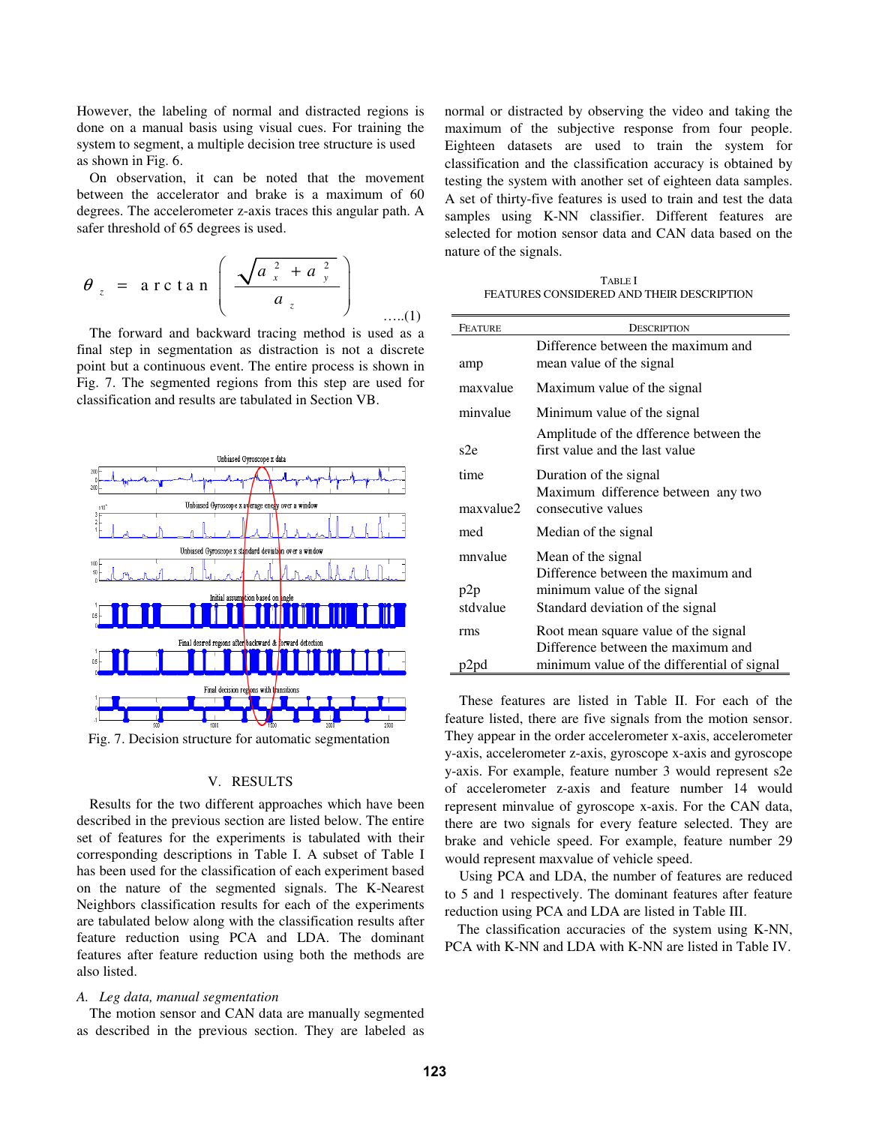However, the labeling of normal and distracted regions is done on a manual basis using visual cues. For training the system to segment, a multiple decision tree structure is used as shown in Fig. 6.

On observation, it can be noted that the movement between the accelerator and brake is a maximum of 60 degrees. The accelerometer z-axis traces this angular path. A safer threshold of 65 degrees is used.

$$
\theta_z = \arctan\left(\frac{\sqrt{a_x^2 + a_y^2}}{a_z}\right) \quad \dots (1)
$$

The forward and backward tracing method is used as a final step in segmentation as distraction is not a discrete point but a continuous event. The entire process is shown in Fig. 7. The segmented regions from this step are used for classification and results are tabulated in Section VB.



Fig. 7. Decision structure for automatic segmentation

### V. RESULTS

Results for the two different approaches which have been described in the previous section are listed below. The entire set of features for the experiments is tabulated with their corresponding descriptions in Table I. A subset of Table I has been used for the classification of each experiment based on the nature of the segmented signals. The K-Nearest Neighbors classification results for each of the experiments are tabulated below along with the classification results after feature reduction using PCA and LDA. The dominant features after feature reduction using both the methods are also listed.

#### *A. Leg data, manual segmentation*

The motion sensor and CAN data are manually segmented as described in the previous section. They are labeled as

normal or distracted by observing the video and taking the maximum of the subjective response from four people. Eighteen datasets are used to train the system for classification and the classification accuracy is obtained by testing the system with another set of eighteen data samples. A set of thirty-five features is used to train and test the data samples using K-NN classifier. Different features are selected for motion sensor data and CAN data based on the nature of the signals.

TABLE I FEATURES CONSIDERED AND THEIR DESCRIPTION

| <b>FEATURE</b>    | DESCRIPTION                                                                        |
|-------------------|------------------------------------------------------------------------------------|
| amp               | Difference between the maximum and<br>mean value of the signal                     |
| maxvalue          | Maximum value of the signal                                                        |
| minvalue          | Minimum value of the signal                                                        |
| s2e               | Amplitude of the difference between the<br>first value and the last value          |
| time<br>maxvalue2 | Duration of the signal<br>Maximum difference between any two<br>consecutive values |
| med               | Median of the signal                                                               |
| mnvalue           | Mean of the signal<br>Difference between the maximum and                           |
| p2p               | minimum value of the signal                                                        |
| stdvalue          | Standard deviation of the signal                                                   |
| rms               | Root mean square value of the signal<br>Difference between the maximum and         |
| p2pd              | minimum value of the differential of signal                                        |

 These features are listed in Table II. For each of the feature listed, there are five signals from the motion sensor. They appear in the order accelerometer x-axis, accelerometer y-axis, accelerometer z-axis, gyroscope x-axis and gyroscope y-axis. For example, feature number 3 would represent s2e of accelerometer z-axis and feature number 14 would represent minvalue of gyroscope x-axis. For the CAN data, there are two signals for every feature selected. They are brake and vehicle speed. For example, feature number 29 would represent maxvalue of vehicle speed.

 Using PCA and LDA, the number of features are reduced to 5 and 1 respectively. The dominant features after feature reduction using PCA and LDA are listed in Table III.

The classification accuracies of the system using K-NN, PCA with K-NN and LDA with K-NN are listed in Table IV.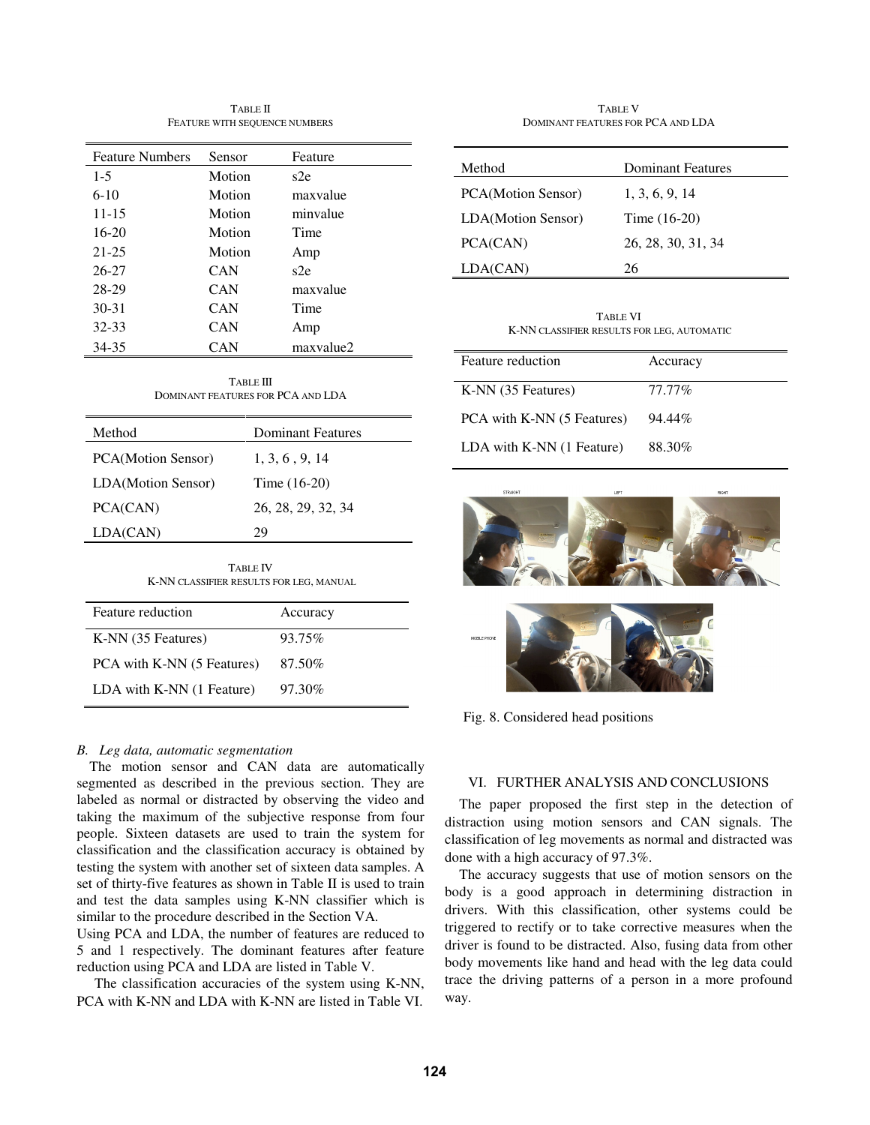TABLE II FEATURE WITH SEQUENCE NUMBERS

| <b>Feature Numbers</b> | Sensor     | Feature   |
|------------------------|------------|-----------|
| $1-5$                  | Motion     | s2e       |
| $6-10$                 | Motion     | maxvalue  |
| $11 - 15$              | Motion     | minvalue  |
| $16-20$                | Motion     | Time      |
| $21 - 25$              | Motion     | Amp       |
| 26-27                  | CAN        | s2e       |
| 28-29                  | <b>CAN</b> | maxvalue  |
| $30 - 31$              | CAN        | Time      |
| 32-33                  | CAN        | Amp       |
| 34-35                  | CAN        | maxvalue2 |

TABLE III DOMINANT FEATURES FOR PCA AND LDA

| Method             | Dominant Features  |
|--------------------|--------------------|
| PCA(Motion Sensor) | 1, 3, 6, 9, 14     |
| LDA(Motion Sensor) | Time $(16-20)$     |
| PCA(CAN)           | 26, 28, 29, 32, 34 |
| LDA(CAN)           | 29                 |
|                    |                    |

| <b>TABLE IV</b>                         |  |
|-----------------------------------------|--|
| K-NN CLASSIFIER RESULTS FOR LEG, MANUAL |  |

| Feature reduction          | Accuracy |
|----------------------------|----------|
| K-NN (35 Features)         | 93.75%   |
| PCA with K-NN (5 Features) | 87.50%   |
| LDA with K-NN (1 Feature)  | 97.30%   |

# *B. Leg data, automatic segmentation*

The motion sensor and CAN data are automatically segmented as described in the previous section. They are labeled as normal or distracted by observing the video and taking the maximum of the subjective response from four people. Sixteen datasets are used to train the system for classification and the classification accuracy is obtained by testing the system with another set of sixteen data samples. A set of thirty-five features as shown in Table II is used to train and test the data samples using K-NN classifier which is similar to the procedure described in the Section VA.

Using PCA and LDA, the number of features are reduced to 5 and 1 respectively. The dominant features after feature reduction using PCA and LDA are listed in Table V.

 The classification accuracies of the system using K-NN, PCA with K-NN and LDA with K-NN are listed in Table VI.

TABLE V DOMINANT FEATURES FOR PCA AND LDA

| Method             | Dominant Features  |
|--------------------|--------------------|
| PCA(Motion Sensor) | 1, 3, 6, 9, 14     |
| LDA(Motion Sensor) | Time $(16-20)$     |
| PCA(CAN)           | 26, 28, 30, 31, 34 |
| LDA(CAN)           | 26                 |

TABLE VI K-NN CLASSIFIER RESULTS FOR LEG, AUTOMATIC

| Feature reduction          | Accuracy |
|----------------------------|----------|
| K-NN (35 Features)         | 77.77%   |
| PCA with K-NN (5 Features) | 94.44%   |
| LDA with K-NN (1 Feature)  | 88.30%   |





Fig. 8. Considered head positions

# VI. FURTHER ANALYSIS AND CONCLUSIONS

The paper proposed the first step in the detection of distraction using motion sensors and CAN signals. The classification of leg movements as normal and distracted was done with a high accuracy of 97.3%.

The accuracy suggests that use of motion sensors on the body is a good approach in determining distraction in drivers. With this classification, other systems could be triggered to rectify or to take corrective measures when the driver is found to be distracted. Also, fusing data from other body movements like hand and head with the leg data could trace the driving patterns of a person in a more profound way.